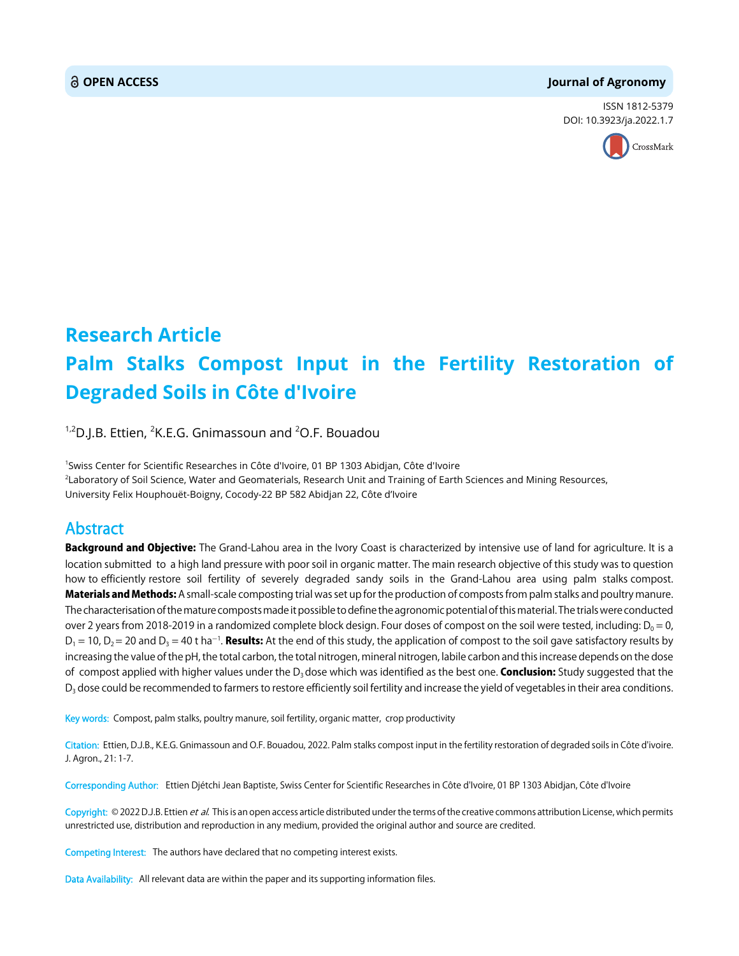#### **OPEN ACCESS Journal of Agronomy**

ISSN 1812-5379 DOI: 10.3923/ja.2022.1.7



# **Research Article Palm Stalks Compost Input in the Fertility Restoration of Degraded Soils in Côte d'Ivoire**

<sup>1,2</sup>D.J.B. Ettien, <sup>2</sup>K.E.G. Gnimassoun and <sup>2</sup>O.F. Bouadou

1 Swiss Center for Scientific Researches in Côte d'Ivoire, 01 BP 1303 Abidjan, Côte d'Ivoire 2 Laboratory of Soil Science, Water and Geomaterials, Research Unit and Training of Earth Sciences and Mining Resources, University Felix Houphouët-Boigny, Cocody-22 BP 582 Abidjan 22, Côte d'Ivoire

## Abstract

Background and Objective: The Grand-Lahou area in the Ivory Coast is characterized by intensive use of land for agriculture. It is a location submitted to a high land pressure with poor soil in organic matter. The main research objective of this study was to question how to efficiently restore soil fertility of severely degraded sandy soils in the Grand-Lahou area using palm stalks compost. **Materials and Methods:** A small-scale composting trial was set up for the production of composts from palm stalks and poultry manure. The characterisation of the mature composts made it possible to define the agronomic potential of this material. The trials were conducted over 2 years from 2018-2019 in a randomized complete block design. Four doses of compost on the soil were tested, including:  $D_0 = 0$ ,  $D_1$  = 10,  $D_2$  = 20 and  $D_3$  = 40 t ha<sup>-1</sup>. **Results:** At the end of this study, the application of compost to the soil gave satisfactory results by increasing the value of the pH, the total carbon, the total nitrogen, mineral nitrogen, labile carbon and this increase depends on the dose of compost applied with higher values under the  $D_3$  dose which was identified as the best one. **Conclusion:** Study suggested that the D<sub>3</sub> dose could be recommended to farmers to restore efficiently soil fertility and increase the yield of vegetables in their area conditions.

Key words: Compost, palm stalks, poultry manure, soil fertility, organic matter, crop productivity

Citation: Ettien, D.J.B., K.E.G. Gnimassoun and O.F. Bouadou, 2022. Palm stalks compost input in the fertility restoration of degraded soils in Côte d'ivoire. J. Agron., 21: 1-7.

Corresponding Author: Ettien Djétchi Jean Baptiste, Swiss Center for Scientific Researches in Côte d'Ivoire, 01 BP 1303 Abidjan, Côte d'Ivoire

Copyright: © 2022 D.J.B. Ettien et al. This is an open access article distributed under the terms of the creative commons attribution License, which permits unrestricted use, distribution and reproduction in any medium, provided the original author and source are credited.

Competing Interest: The authors have declared that no competing interest exists.

Data Availability: All relevant data are within the paper and its supporting information files.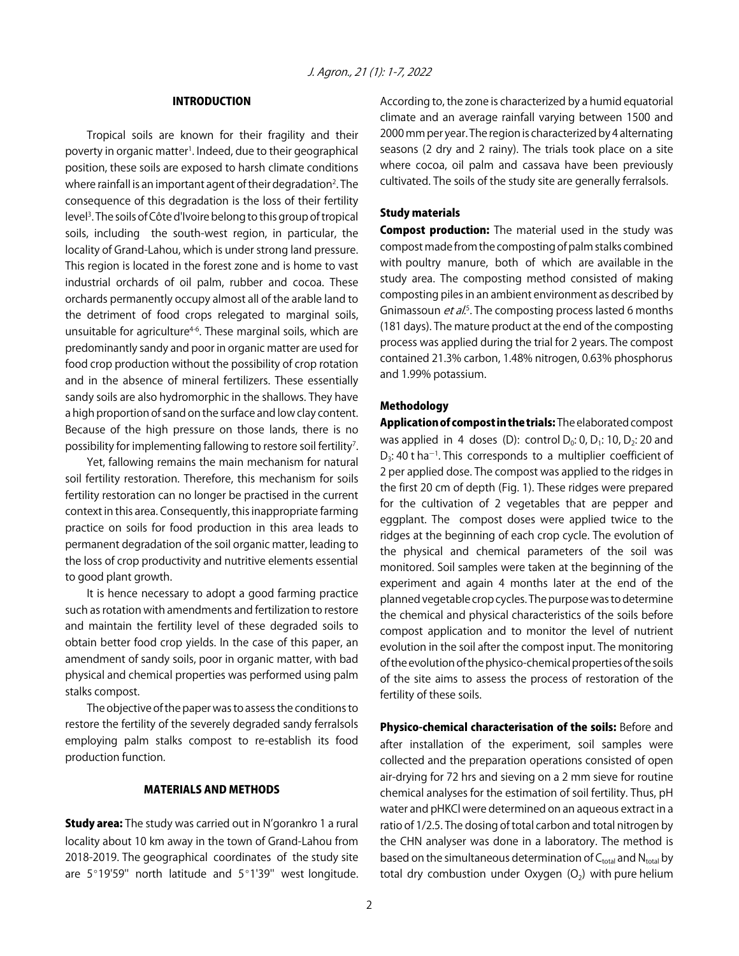#### INTRODUCTION

Tropical soils are known for their fragility and their poverty in organic matter<sup>1</sup>. Indeed, due to their geographical position, these soils are exposed to harsh climate conditions where rainfall is an important agent of their degradation<sup>2</sup>. The consequence of this degradation is the loss of their fertility level<sup>3</sup>. The soils of Côte d'Ivoire belong to this group of tropical soils, including the south-west region, in particular, the locality of Grand-Lahou, which is under strong land pressure. This region is located in the forest zone and is home to vast industrial orchards of oil palm, rubber and cocoa. These orchards permanently occupy almost all of the arable land to the detriment of food crops relegated to marginal soils, unsuitable for agriculture<sup>4-6</sup>. These marginal soils, which are predominantly sandy and poor in organic matter are used for food crop production without the possibility of crop rotation and in the absence of mineral fertilizers. These essentially sandy soils are also hydromorphic in the shallows. They have a high proportion of sand on the surface and low clay content. Because of the high pressure on those lands, there is no possibility for implementing fallowing to restore soil fertility<sup>7</sup>.

Yet, fallowing remains the main mechanism for natural soil fertility restoration. Therefore, this mechanism for soils fertility restoration can no longer be practised in the current context in this area. Consequently, this inappropriate farming practice on soils for food production in this area leads to permanent degradation of the soil organic matter, leading to the loss of crop productivity and nutritive elements essential to good plant growth.

It is hence necessary to adopt a good farming practice such as rotation with amendments and fertilization to restore and maintain the fertility level of these degraded soils to obtain better food crop yields. In the case of this paper, an amendment of sandy soils, poor in organic matter, with bad physical and chemical properties was performed using palm stalks compost.

The objective of the paper was to assess the conditions to restore the fertility of the severely degraded sandy ferralsols employing palm stalks compost to re-establish its food production function.

#### MATERIALS AND METHODS

**Study area:** The study was carried out in N'gorankro 1 a rural locality about 10 km away in the town of Grand-Lahou from 2018-2019. The geographical coordinates of the study site are  $5^{\circ}19'59''$  north latitude and  $5^{\circ}1'39''$  west longitude. According to, the zone is characterized by a humid equatorial climate and an average rainfall varying between 1500 and 2000 mm per year. The region is characterized by 4 alternating seasons (2 dry and 2 rainy). The trials took place on a site where cocoa, oil palm and cassava have been previously cultivated. The soils of the study site are generally ferralsols.

#### Study materials

**Compost production:** The material used in the study was compost made from the composting of palm stalks combined with poultry manure, both of which are available in the study area. The composting method consisted of making composting piles in an ambient environment as described by Gnimassoun *et al.*<sup>5</sup>. The composting process lasted 6 months (181 days). The mature product at the end of the composting process was applied during the trial for 2 years. The compost contained 21.3% carbon, 1.48% nitrogen, 0.63% phosphorus and 1.99% potassium.

#### Methodology

Application of compost in the trials: The elaborated compost was applied in 4 doses (D): control  $D_0$ : 0,  $D_1$ : 10,  $D_2$ : 20 and  $D_3$ : 40 t ha<sup>-1</sup>. This corresponds to a multiplier coefficient of 2 per applied dose. The compost was applied to the ridges in the first 20 cm of depth (Fig. 1). These ridges were prepared for the cultivation of 2 vegetables that are pepper and eggplant. The compost doses were applied twice to the ridges at the beginning of each crop cycle. The evolution of the physical and chemical parameters of the soil was monitored. Soil samples were taken at the beginning of the experiment and again 4 months later at the end of the planned vegetable crop cycles. The purpose was to determine the chemical and physical characteristics of the soils before compost application and to monitor the level of nutrient evolution in the soil after the compost input. The monitoring of the evolution of the physico-chemical properties of the soils of the site aims to assess the process of restoration of the fertility of these soils.

Physico-chemical characterisation of the soils: Before and after installation of the experiment, soil samples were collected and the preparation operations consisted of open air-drying for 72 hrs and sieving on a 2 mm sieve for routine chemical analyses for the estimation of soil fertility. Thus, pH water and pHKCl were determined on an aqueous extract in a ratio of 1/2.5. The dosing of total carbon and total nitrogen by the CHN analyser was done in a laboratory. The method is based on the simultaneous determination of  $C_{total}$  and  $N_{total}$  by total dry combustion under Oxygen  $(O_2)$  with pure helium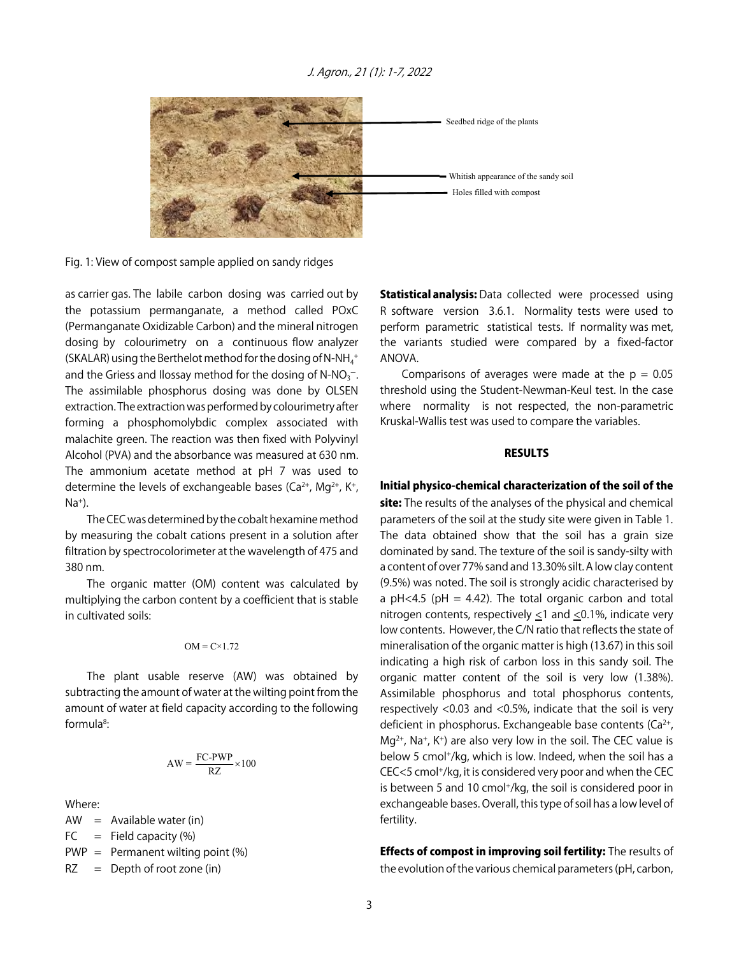#### J. Agron., 21 (1): 1-7, 2022



Fig. 1: View of compost sample applied on sandy ridges

as carrier gas. The labile carbon dosing was carried out by the potassium permanganate, a method called POxC (Permanganate Oxidizable Carbon) and the mineral nitrogen dosing by colourimetry on a continuous flow analyzer (SKALAR) using the Berthelot method for the dosing of N-NH $_4^+$ and the Griess and Ilossay method for the dosing of N-NO $_3$ <sup>-</sup>. The assimilable phosphorus dosing was done by OLSEN extraction. The extraction was performed by colourimetry after forming a phosphomolybdic complex associated with malachite green. The reaction was then fixed with Polyvinyl Alcohol (PVA) and the absorbance was measured at 630 nm. The ammonium acetate method at pH 7 was used to determine the levels of exchangeable bases ( $Ca^{2+}$ , Mg<sup>2+</sup>, K<sup>+</sup>,  $Na<sup>+</sup>$ ).

The CEC was determined by the cobalt hexamine method by measuring the cobalt cations present in a solution after filtration by spectrocolorimeter at the wavelength of 475 and 380 nm.

The organic matter (OM) content was calculated by multiplying the carbon content by a coefficient that is stable in cultivated soils:

$$
OM = C \times 1.72
$$

The plant usable reserve (AW) was obtained by subtracting the amount of water at the wilting point from the amount of water at field capacity according to the following formula<sup>8</sup>:

$$
AW = \frac{FC-PWP}{RZ} \times 100
$$

Where:

 $AW = Available water (in)$  $FC = Field capacity (%)$  $PWP =$  Permanent wilting point  $(\%)$  $RZ = \text{Depth of root zone (in)}$ 

**Statistical analysis:** Data collected were processed using R software version 3.6.1. Normality tests were used to perform parametric statistical tests. If normality was met, the variants studied were compared by a fixed-factor ANOVA.

Comparisons of averages were made at the  $p = 0.05$ threshold using the Student-Newman-Keul test. In the case where normality is not respected, the non-parametric Kruskal-Wallis test was used to compare the variables.

#### RESULTS

#### Initial physico-chemical characterization of the soil of the

site: The results of the analyses of the physical and chemical parameters of the soil at the study site were given in Table 1. The data obtained show that the soil has a grain size dominated by sand. The texture of the soil is sandy-silty with a content of over 77% sand and 13.30% silt. A low clay content (9.5%) was noted. The soil is strongly acidic characterised by a pH<4.5 (pH = 4.42). The total organic carbon and total nitrogen contents, respectively <1 and <0.1%, indicate very low contents. However, the C/N ratio that reflects the state of mineralisation of the organic matter is high (13.67) in this soil indicating a high risk of carbon loss in this sandy soil. The organic matter content of the soil is very low (1.38%). Assimilable phosphorus and total phosphorus contents, respectively <0.03 and <0.5%, indicate that the soil is very deficient in phosphorus. Exchangeable base contents  $(Ca^{2+})$ ,  $Mq^{2+}$ , Na<sup>+</sup>, K<sup>+</sup>) are also very low in the soil. The CEC value is below 5 cmol<sup>+</sup>/kg, which is low. Indeed, when the soil has a CEC<5 cmol+/kg, it is considered very poor and when the CEC is between 5 and 10 cmol<sup>+</sup>/kg, the soil is considered poor in exchangeable bases. Overall, this type of soil has a low level of fertility.

**Effects of compost in improving soil fertility:** The results of the evolution of the various chemical parameters (pH, carbon,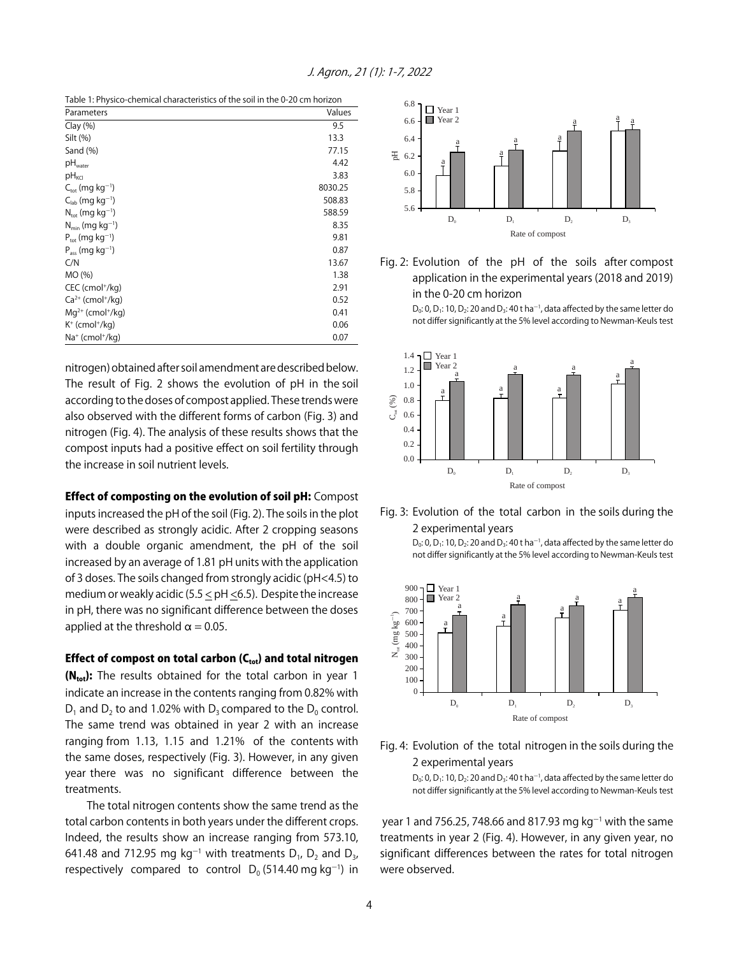| Table 1: Physico-chemical characteristics of the soil in the 0-20 cm horizon |  |
|------------------------------------------------------------------------------|--|
|------------------------------------------------------------------------------|--|

| Parameters                              | Values  |
|-----------------------------------------|---------|
| Clay(%)                                 | 9.5     |
| Silt (%)                                | 13.3    |
| Sand $(\%)$                             | 77.15   |
| $pH_{\text{water}}$                     | 4.42    |
| $pH_{\text{KCl}}$                       | 3.83    |
| $C_{\text{tot}}$ (mg kg <sup>-1</sup> ) | 8030.25 |
| $C_{lab}$ (mg kg <sup>-1</sup> )        | 508.83  |
| $N_{\text{tot}}$ (mg kg <sup>-1</sup> ) | 588.59  |
| $N_{min}$ (mg kg <sup>-1</sup> )        | 8.35    |
| $P_{\text{tot}}$ (mg kg <sup>-1</sup> ) | 9.81    |
| $P_{ass}$ (mg kg <sup>-1</sup> )        | 0.87    |
| C/N                                     | 13.67   |
| MO (%)                                  | 1.38    |
| CEC (cmol <sup>+</sup> /kg)             | 2.91    |
| $Ca2+$ (cmol <sup>+</sup> /kg)          | 0.52    |
| $Mq^{2+}$ (cmol <sup>+</sup> /kg)       | 0.41    |
| $K^+$ (cmol <sup>+</sup> /kg)           | 0.06    |
| Na <sup>+</sup> (cmol <sup>+</sup> /kg) | 0.07    |

nitrogen) obtained after soil amendment are described below. The result of Fig. 2 shows the evolution of pH in the soil according to the doses of compost applied. These trends were also observed with the different forms of carbon (Fig. 3) and nitrogen (Fig. 4). The analysis of these results shows that the compost inputs had a positive effect on soil fertility through the increase in soil nutrient levels.

Effect of composting on the evolution of soil pH: Compost

inputs increased the pH of the soil (Fig. 2). The soils in the plot were described as strongly acidic. After 2 cropping seasons with a double organic amendment, the pH of the soil increased by an average of 1.81 pH units with the application of 3 doses. The soils changed from strongly acidic (pH<4.5) to medium or weakly acidic (5.5 < pH <6.5). Despite the increase in pH, there was no significant difference between the doses applied at the threshold  $\alpha = 0.05$ .

Effect of compost on total carbon  $(C_{tot})$  and total nitrogen

 $(N_{tot})$ : The results obtained for the total carbon in year 1 indicate an increase in the contents ranging from 0.82% with  $D_1$  and  $D_2$  to and 1.02% with  $D_3$  compared to the  $D_0$  control. The same trend was obtained in year 2 with an increase ranging from 1.13, 1.15 and 1.21% of the contents with the same doses, respectively (Fig. 3). However, in any given year there was no significant difference between the treatments.

The total nitrogen contents show the same trend as the total carbon contents in both years under the different crops. Indeed, the results show an increase ranging from 573.10, 641.48 and 712.95 mg kg $^{-1}$  with treatments D<sub>1</sub>, D<sub>2</sub> and D<sub>3</sub>, respectively compared to control  $D_0$  (514.40 mg kg<sup>-1</sup>) in



Fig. 2: Evolution of the pH of the soils after compost application in the experimental years (2018 and 2019) in the 0-20 cm horizon

> $D_0$ : 0,  $D_1$ : 10,  $D_2$ : 20 and  $D_3$ : 40 t ha<sup>-1</sup>, data affected by the same letter do not differ significantly at the 5% level according to Newman-Keuls test



#### Fig. 3: Evolution of the total carbon in the soils during the 2 experimental years

 $D_0$ : 0,  $D_1$ : 10,  $D_2$ : 20 and  $D_3$ : 40 t ha<sup>-1</sup>, data affected by the same letter do not differ significantly at the 5% level according to Newman-Keuls test



Fig. 4: Evolution of the total nitrogen in the soils during the 2 experimental years

> D<sub>0</sub>: 0, D<sub>1</sub>: 10, D<sub>2</sub>: 20 and D<sub>3</sub>: 40 t ha<sup>-1</sup>, data affected by the same letter do not differ significantly at the 5% level according to Newman-Keuls test

year 1 and 756.25, 748.66 and 817.93 mg kg<sup>-1</sup> with the same treatments in year 2 (Fig. 4). However, in any given year, no significant differences between the rates for total nitrogen were observed.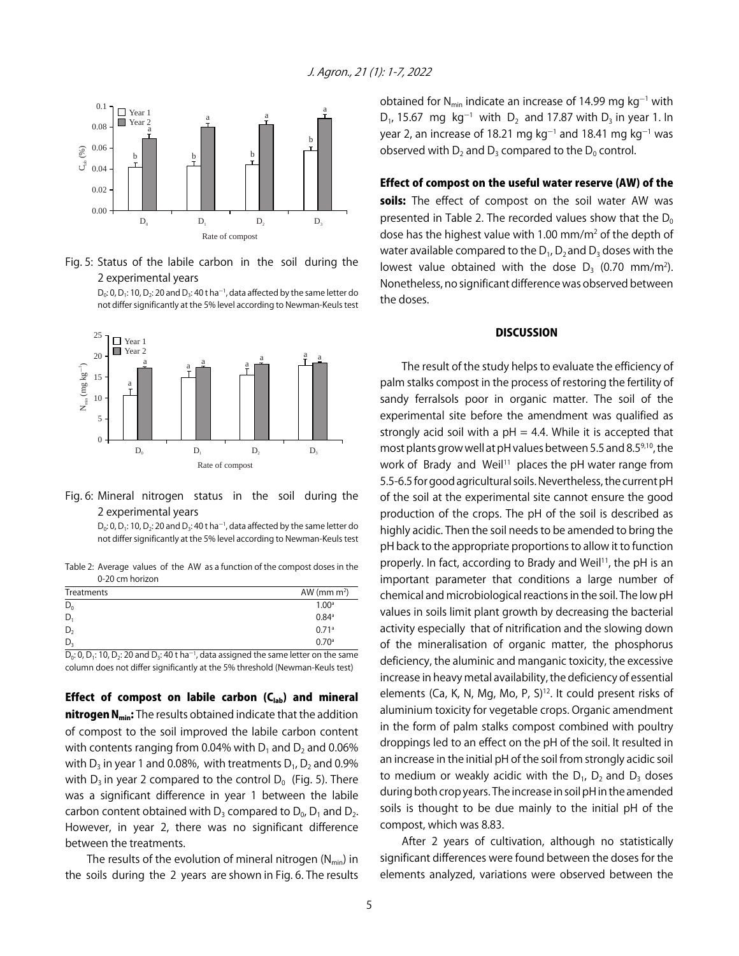

Fig. 5: Status of the labile carbon in the soil during the 2 experimental years

> D<sub>0</sub>: 0, D<sub>1</sub>: 10, D<sub>2</sub>: 20 and D<sub>3</sub>: 40 t ha<sup>-1</sup>, data affected by the same letter do not differ significantly at the 5% level according to Newman-Keuls test



### Fig. 6: Mineral nitrogen status in the soil during the 2 experimental years

 $D_0$ : 0,  $D_1$ : 10,  $D_2$ : 20 and  $D_3$ : 40 t ha<sup>-1</sup>, data affected by the same letter do not differ significantly at the 5% level according to Newman-Keuls test

Table 2: Average values of the AW as a function of the compost doses in the 0-20 cm horizon

| Treatments | AW (mm $m^2$ )      |
|------------|---------------------|
| $D_0$      | 1.00 <sup>a</sup>   |
| D          | $0.84$ <sup>a</sup> |
| D,         | 0.71a               |
| D.         | 0.70a               |

D<sub>0</sub>: 0, D<sub>1</sub>: 10, D<sub>2</sub>: 20 and D<sub>3</sub>: 40 t ha<sup>-1</sup>, data assigned the same letter on the same column does not differ significantly at the 5% threshold (Newman-Keuls test)

Effect of compost on labile carbon  $(C_{lab})$  and mineral nitrogen N<sub>min</sub>: The results obtained indicate that the addition of compost to the soil improved the labile carbon content with contents ranging from 0.04% with  $D_1$  and  $D_2$  and 0.06% with  $D_3$  in year 1 and 0.08%, with treatments  $D_1$ ,  $D_2$  and 0.9% with  $D_3$  in year 2 compared to the control  $D_0$  (Fig. 5). There was a significant difference in year 1 between the labile carbon content obtained with  $D_3$  compared to  $D_0$ ,  $D_1$  and  $D_2$ . However, in year 2, there was no significant difference between the treatments.

The results of the evolution of mineral nitrogen  $(N_{min})$  in the soils during the 2 years are shown in Fig. 6. The results

obtained for N<sub>min</sub> indicate an increase of 14.99 mg kg<sup>-1</sup> with  $D_1$ , 15.67 mg kg<sup>-1</sup> with  $D_2$  and 17.87 with  $D_3$  in year 1. In year 2, an increase of 18.21 mg kg $^{-1}$  and 18.41 mg kg $^{-1}$  was observed with  $D_2$  and  $D_3$  compared to the  $D_0$  control.

Effect of compost on the useful water reserve (AW) of the soils: The effect of compost on the soil water AW was presented in Table 2. The recorded values show that the  $D_0$ dose has the highest value with 1.00 mm/m<sup>2</sup> of the depth of water available compared to the  $D_1$ ,  $D_2$  and  $D_3$  doses with the lowest value obtained with the dose  $D_3$  (0.70 mm/m<sup>2</sup>). Nonetheless, no significant difference was observed between the doses.

#### **DISCUSSION**

The result of the study helps to evaluate the efficiency of palm stalks compost in the process of restoring the fertility of sandy ferralsols poor in organic matter. The soil of the experimental site before the amendment was qualified as strongly acid soil with a  $pH = 4.4$ . While it is accepted that most plants grow well at pH values between 5.5 and 8.59,10, the work of Brady and Weil<sup>11</sup> places the pH water range from 5.5-6.5 for good agricultural soils. Nevertheless, the current pH of the soil at the experimental site cannot ensure the good production of the crops. The pH of the soil is described as highly acidic. Then the soil needs to be amended to bring the pH back to the appropriate proportions to allow it to function properly. In fact, according to Brady and Weil<sup>11</sup>, the pH is an important parameter that conditions a large number of chemical and microbiological reactions in the soil. The low pH values in soils limit plant growth by decreasing the bacterial activity especially that of nitrification and the slowing down of the mineralisation of organic matter, the phosphorus deficiency, the aluminic and manganic toxicity, the excessive increase in heavy metal availability, the deficiency of essential elements (Ca, K, N, Mg, Mo, P, S)<sup>12</sup>. It could present risks of aluminium toxicity for vegetable crops. Organic amendment in the form of palm stalks compost combined with poultry droppings led to an effect on the pH of the soil. It resulted in an increase in the initial pH of the soil from strongly acidic soil to medium or weakly acidic with the  $D_1$ ,  $D_2$  and  $D_3$  doses during both crop years. The increase in soil pH in the amended soils is thought to be due mainly to the initial pH of the compost, which was 8.83.

After 2 years of cultivation, although no statistically significant differences were found between the doses for the elements analyzed, variations were observed between the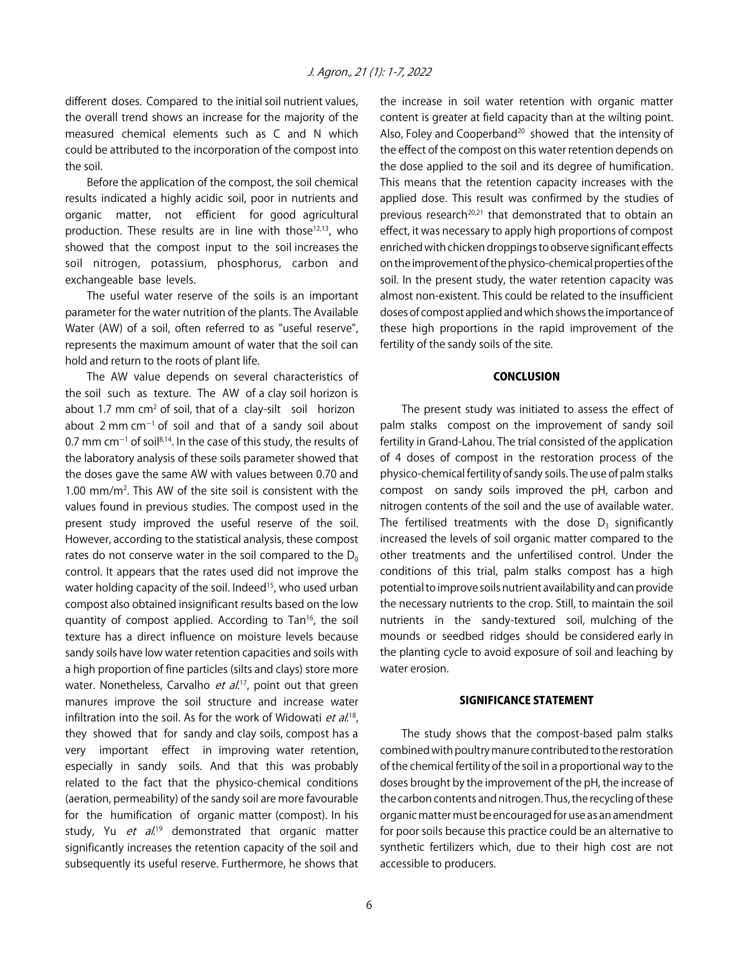different doses. Compared to the initial soil nutrient values, the overall trend shows an increase for the majority of the measured chemical elements such as C and N which could be attributed to the incorporation of the compost into the soil.

Before the application of the compost, the soil chemical results indicated a highly acidic soil, poor in nutrients and organic matter, not efficient for good agricultural production. These results are in line with those<sup>12,13</sup>, who showed that the compost input to the soil increases the soil nitrogen, potassium, phosphorus, carbon and exchangeable base levels.

The useful water reserve of the soils is an important parameter for the water nutrition of the plants. The Available Water (AW) of a soil, often referred to as "useful reserve", represents the maximum amount of water that the soil can hold and return to the roots of plant life.

The AW value depends on several characteristics of the soil such as texture. The AW of a clay soil horizon is about 1.7 mm  $cm<sup>2</sup>$  of soil, that of a clay-silt soil horizon about  $2 \text{ mm cm}^{-1}$  of soil and that of a sandy soil about 0.7 mm cm $^{-1}$  of soil $^{8,14}$ . In the case of this study, the results of the laboratory analysis of these soils parameter showed that the doses gave the same AW with values between 0.70 and 1.00 mm/m<sup>2</sup>. This AW of the site soil is consistent with the values found in previous studies. The compost used in the present study improved the useful reserve of the soil. However, according to the statistical analysis, these compost rates do not conserve water in the soil compared to the  $D_0$ control. It appears that the rates used did not improve the water holding capacity of the soil. Indeed<sup>15</sup>, who used urban compost also obtained insignificant results based on the low quantity of compost applied. According to Tan16, the soil texture has a direct influence on moisture levels because sandy soils have low water retention capacities and soils with a high proportion of fine particles (silts and clays) store more water. Nonetheless, Carvalho *et al*.<sup>17</sup>, point out that green manures improve the soil structure and increase water infiltration into the soil. As for the work of Widowati et al.<sup>18</sup>, they showed that for sandy and clay soils, compost has a very important effect in improving water retention, especially in sandy soils. And that this was probably related to the fact that the physico-chemical conditions (aeration, permeability) of the sandy soil are more favourable for the humification of organic matter (compost). In his study, Yu et al.<sup>19</sup> demonstrated that organic matter significantly increases the retention capacity of the soil and subsequently its useful reserve. Furthermore, he shows that

the increase in soil water retention with organic matter content is greater at field capacity than at the wilting point. Also, Foley and Cooperband<sup>20</sup> showed that the intensity of the effect of the compost on this water retention depends on the dose applied to the soil and its degree of humification. This means that the retention capacity increases with the applied dose. This result was confirmed by the studies of previous research<sup>20,21</sup> that demonstrated that to obtain an effect, it was necessary to apply high proportions of compost enriched with chicken droppings to observe significant effects on the improvement of the physico-chemical properties of the soil. In the present study, the water retention capacity was almost non-existent. This could be related to the insufficient doses of compost applied and which shows the importance of these high proportions in the rapid improvement of the fertility of the sandy soils of the site.

#### **CONCLUSION**

The present study was initiated to assess the effect of palm stalks compost on the improvement of sandy soil fertility in Grand-Lahou. The trial consisted of the application of 4 doses of compost in the restoration process of the physico-chemical fertility of sandy soils. The use of palm stalks compost on sandy soils improved the pH, carbon and nitrogen contents of the soil and the use of available water. The fertilised treatments with the dose  $D<sub>3</sub>$  significantly increased the levels of soil organic matter compared to the other treatments and the unfertilised control. Under the conditions of this trial, palm stalks compost has a high potential to improve soils nutrient availability and can provide the necessary nutrients to the crop. Still, to maintain the soil nutrients in the sandy-textured soil, mulching of the mounds or seedbed ridges should be considered early in the planting cycle to avoid exposure of soil and leaching by water erosion.

#### SIGNIFICANCE STATEMENT

The study shows that the compost-based palm stalks combined with poultry manure contributed to the restoration of the chemical fertility of the soil in a proportional way to the doses brought by the improvement of the pH, the increase of the carbon contents and nitrogen. Thus, the recycling of these organic matter must be encouraged for use as an amendment for poor soils because this practice could be an alternative to synthetic fertilizers which, due to their high cost are not accessible to producers.